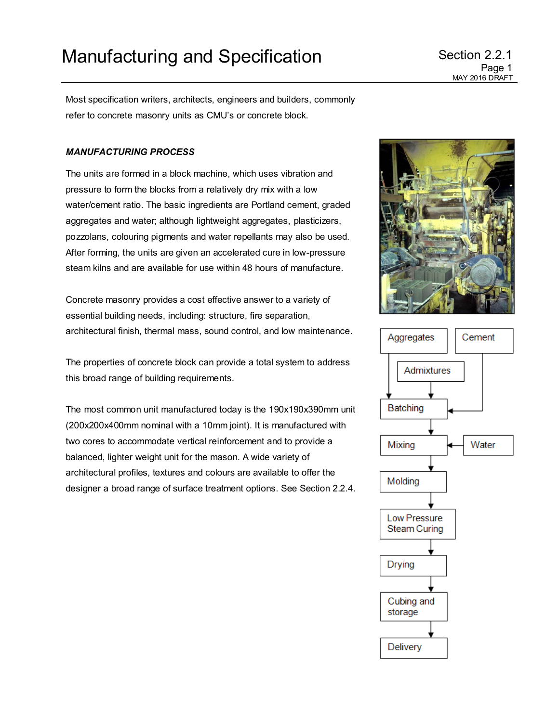Most specification writers, architects, engineers and builders, commonly refer to concrete masonry units as CMU's or concrete block.

## *MANUFACTURING PROCESS*

The units are formed in a block machine, which uses vibration and pressure to form the blocks from a relatively dry mix with a low water/cement ratio. The basic ingredients are Portland cement, graded aggregates and water; although lightweight aggregates, plasticizers, pozzolans, colouring pigments and water repellants may also be used. After forming, the units are given an accelerated cure in low-pressure steam kilns and are available for use within 48 hours of manufacture.

Concrete masonry provides a cost effective answer to a variety of essential building needs, including: structure, fire separation, architectural finish, thermal mass, sound control, and low maintenance.

The properties of concrete block can provide a total system to address this broad range of building requirements.

The most common unit manufactured today is the 190x190x390mm unit (200x200x400mm nominal with a 10mm joint). It is manufactured with two cores to accommodate vertical reinforcement and to provide a balanced, lighter weight unit for the mason. A wide variety of architectural profiles, textures and colours are available to offer the designer a broad range of surface treatment options. See Section 2.2.4.



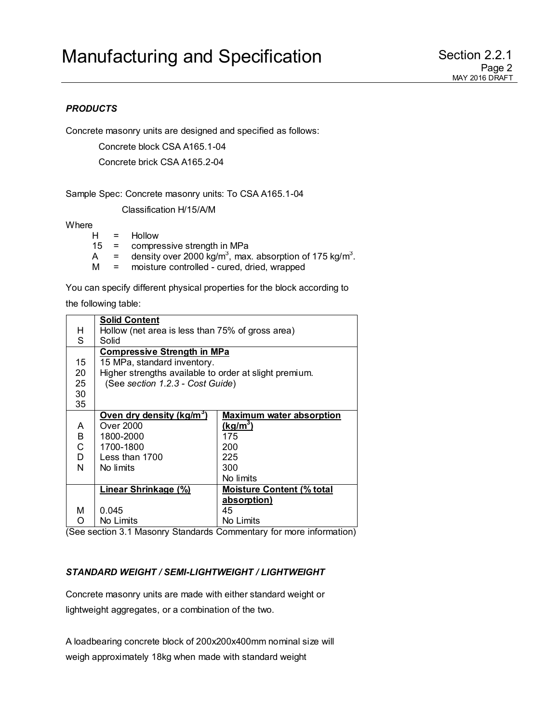## *PRODUCTS*

Concrete masonry units are designed and specified as follows:

Concrete block CSA A165.1-04

Concrete brick CSA A165.2-04

Sample Spec: Concrete masonry units: To CSA A165.1-04

Classification H/15/A/M

Where

| H | Hollow |
|---|--------|
|   |        |

- 15 = compressive strength in MPa
- A  $=$  density over 2000 kg/m<sup>3</sup>, max. absorption of 175 kg/m<sup>3</sup>.
- M = moisture controlled cured, dried, wrapped

You can specify different physical properties for the block according to

the following table:

|    | <b>Solid Content</b>                                   |                                  |  |  |
|----|--------------------------------------------------------|----------------------------------|--|--|
| H  | Hollow (net area is less than 75% of gross area)       |                                  |  |  |
| S  | Solid                                                  |                                  |  |  |
|    | <b>Compressive Strength in MPa</b>                     |                                  |  |  |
| 15 | 15 MPa, standard inventory.                            |                                  |  |  |
| 20 | Higher strengths available to order at slight premium. |                                  |  |  |
| 25 | (See section 1.2.3 - Cost Guide)                       |                                  |  |  |
| 30 |                                                        |                                  |  |  |
| 35 |                                                        |                                  |  |  |
|    | Oven dry density (kg/m <sup>3</sup> )                  | <b>Maximum water absorption</b>  |  |  |
| A  | Over 2000                                              | $(kg/m^3)$                       |  |  |
| B  | 1800-2000                                              | 175                              |  |  |
| C  | 1700-1800                                              | 200                              |  |  |
| D  | Less than $1700$                                       | 225                              |  |  |
| N  | No limits                                              | 300                              |  |  |
|    |                                                        | No limits                        |  |  |
|    | <b>Linear Shrinkage (%)</b>                            | <b>Moisture Content (% total</b> |  |  |
|    |                                                        | absorption)                      |  |  |
| м  | 0.045                                                  | 45                               |  |  |
| Ω  | No Limits                                              | No Limits                        |  |  |

(See section 3.1 Masonry Standards Commentary for more information)

## *STANDARD WEIGHT / SEMI-LIGHTWEIGHT / LIGHTWEIGHT*

Concrete masonry units are made with either standard weight or lightweight aggregates, or a combination of the two.

A loadbearing concrete block of 200x200x400mm nominal size will weigh approximately 18kg when made with standard weight